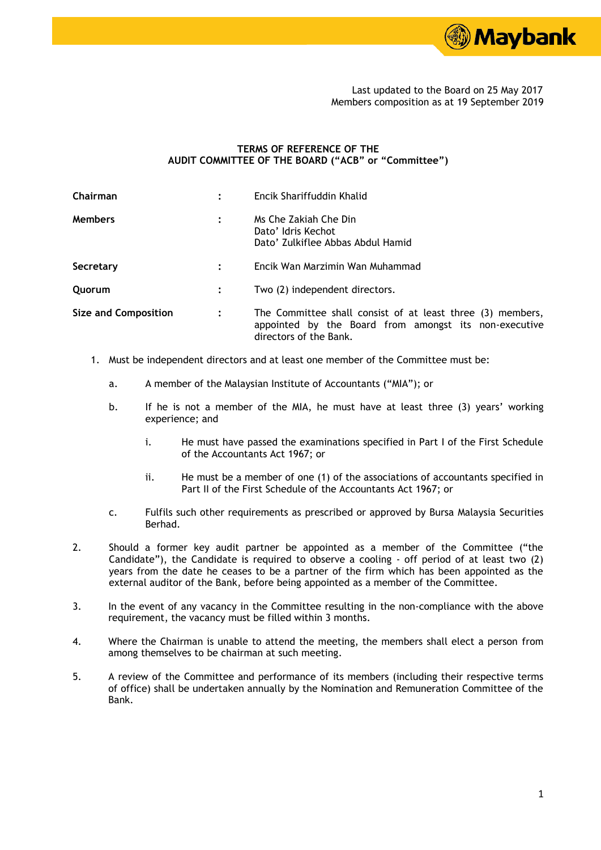

 Last updated to the Board on 25 May 2017 Members composition as at 19 September 2019

## **TERMS OF REFERENCE OF THE AUDIT COMMITTEE OF THE BOARD ("ACB" or "Committee")**

| Chairman                    | Encik Shariffuddin Khalid                                                                                                                     |
|-----------------------------|-----------------------------------------------------------------------------------------------------------------------------------------------|
| <b>Members</b>              | Ms Che Zakiah Che Din<br>Dato' Idris Kechot<br>Dato' Zulkiflee Abbas Abdul Hamid                                                              |
| Secretary                   | Encik Wan Marzimin Wan Muhammad                                                                                                               |
| Quorum                      | Two (2) independent directors.                                                                                                                |
| <b>Size and Composition</b> | The Committee shall consist of at least three (3) members,<br>appointed by the Board from amongst its non-executive<br>directors of the Bank. |

- 1. Must be independent directors and at least one member of the Committee must be:
	- a. A member of the Malaysian Institute of Accountants ("MIA"); or
	- b. If he is not a member of the MIA, he must have at least three (3) years' working experience; and
		- i. He must have passed the examinations specified in Part I of the First Schedule of the Accountants Act 1967; or
		- ii. He must be a member of one (1) of the associations of accountants specified in Part II of the First Schedule of the Accountants Act 1967; or
	- c. Fulfils such other requirements as prescribed or approved by Bursa Malaysia Securities Berhad.
- 2. Should a former key audit partner be appointed as a member of the Committee ("the Candidate"), the Candidate is required to observe a cooling - off period of at least two (2) years from the date he ceases to be a partner of the firm which has been appointed as the external auditor of the Bank, before being appointed as a member of the Committee.
- 3. In the event of any vacancy in the Committee resulting in the non-compliance with the above requirement, the vacancy must be filled within 3 months.
- 4. Where the Chairman is unable to attend the meeting, the members shall elect a person from among themselves to be chairman at such meeting.
- 5. A review of the Committee and performance of its members (including their respective terms of office) shall be undertaken annually by the Nomination and Remuneration Committee of the Bank.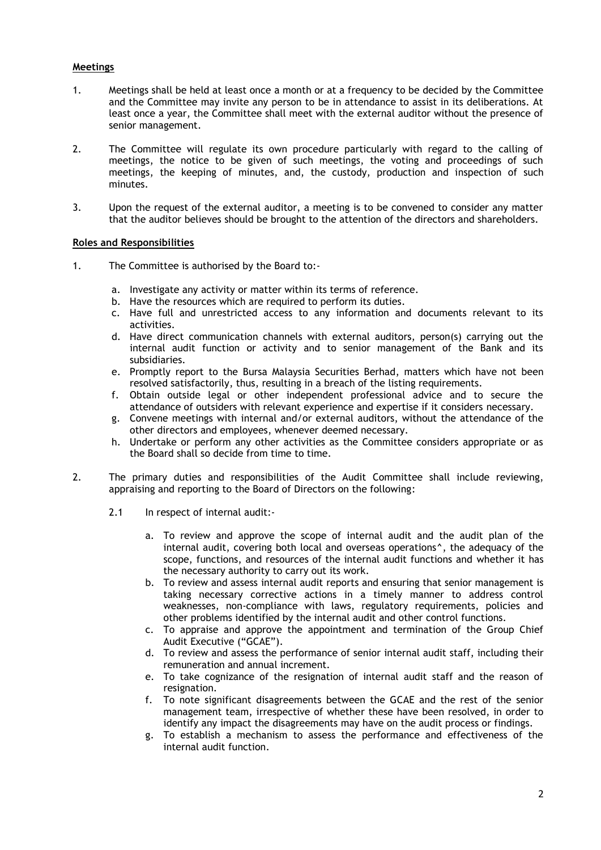## **Meetings**

- 1. Meetings shall be held at least once a month or at a frequency to be decided by the Committee and the Committee may invite any person to be in attendance to assist in its deliberations. At least once a year, the Committee shall meet with the external auditor without the presence of senior management.
- 2. The Committee will regulate its own procedure particularly with regard to the calling of meetings, the notice to be given of such meetings, the voting and proceedings of such meetings, the keeping of minutes, and, the custody, production and inspection of such minutes.
- 3. Upon the request of the external auditor, a meeting is to be convened to consider any matter that the auditor believes should be brought to the attention of the directors and shareholders.

## **Roles and Responsibilities**

- 1. The Committee is authorised by the Board to:
	- a. Investigate any activity or matter within its terms of reference.
	- b. Have the resources which are required to perform its duties.
	- c. Have full and unrestricted access to any information and documents relevant to its activities.
	- d. Have direct communication channels with external auditors, person(s) carrying out the internal audit function or activity and to senior management of the Bank and its subsidiaries.
	- e. Promptly report to the Bursa Malaysia Securities Berhad, matters which have not been resolved satisfactorily, thus, resulting in a breach of the listing requirements.
	- f. Obtain outside legal or other independent professional advice and to secure the attendance of outsiders with relevant experience and expertise if it considers necessary.
	- g. Convene meetings with internal and/or external auditors, without the attendance of the other directors and employees, whenever deemed necessary.
	- h. Undertake or perform any other activities as the Committee considers appropriate or as the Board shall so decide from time to time.
- 2. The primary duties and responsibilities of the Audit Committee shall include reviewing, appraising and reporting to the Board of Directors on the following:
	- 2.1 In respect of internal audit:
		- a. To review and approve the scope of internal audit and the audit plan of the internal audit, covering both local and overseas operations**^**, the adequacy of the scope, functions, and resources of the internal audit functions and whether it has the necessary authority to carry out its work.
		- b. To review and assess internal audit reports and ensuring that senior management is taking necessary corrective actions in a timely manner to address control weaknesses, non-compliance with laws, regulatory requirements, policies and other problems identified by the internal audit and other control functions.
		- c. To appraise and approve the appointment and termination of the Group Chief Audit Executive ("GCAE").
		- d. To review and assess the performance of senior internal audit staff, including their remuneration and annual increment.
		- e. To take cognizance of the resignation of internal audit staff and the reason of resignation.
		- f. To note significant disagreements between the GCAE and the rest of the senior management team, irrespective of whether these have been resolved, in order to identify any impact the disagreements may have on the audit process or findings.
		- g. To establish a mechanism to assess the performance and effectiveness of the internal audit function.